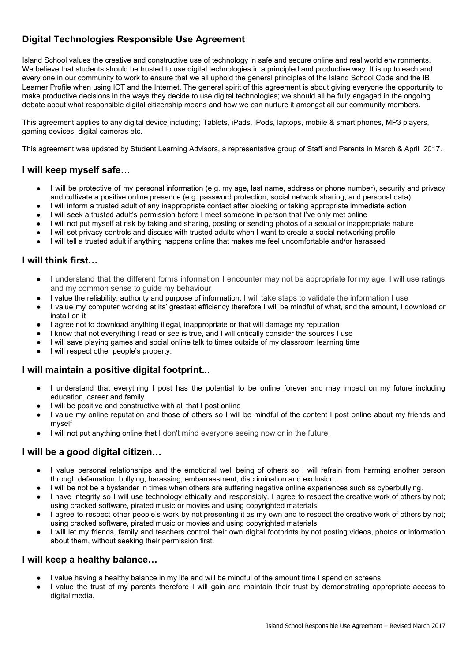# **Digital Technologies Responsible Use Agreement**

Island School values the creative and constructive use of technology in safe and secure online and real world environments. We believe that students should be trusted to use digital technologies in a principled and productive way. It is up to each and every one in our community to work to ensure that we all uphold the general principles of the Island School Code and the IB Learner Profile when using ICT and the Internet. The general spirit of this agreement is about giving everyone the opportunity to make productive decisions in the ways they decide to use digital technologies; we should all be fully engaged in the ongoing debate about what responsible digital citizenship means and how we can nurture it amongst all our community members.

This agreement applies to any digital device including; Tablets, iPads, iPods, laptops, mobile & smart phones, MP3 players, gaming devices, digital cameras etc.

This agreement was updated by Student Learning Advisors, a representative group of Staff and Parents in March & April 2017.

### **I will keep myself safe…**

- I will be protective of my personal information (e.g. my age, last name, address or phone number), security and privacy and cultivate a positive online presence (e.g. password protection, social network sharing, and personal data)
- I will inform a trusted adult of any inappropriate contact after blocking or taking appropriate immediate action
- I will seek a trusted adult's permission before I meet someone in person that I've only met online
- I will not put myself at risk by taking and sharing, posting or sending photos of a sexual or inappropriate nature
- I will set privacy controls and discuss with trusted adults when I want to create a social networking profile
- I will tell a trusted adult if anything happens online that makes me feel uncomfortable and/or harassed.

### **I will think first…**

- I understand that the different forms information I encounter may not be appropriate for my age. I will use ratings and my common sense to guide my behaviour
- I value the reliability, authority and purpose of information. I will take steps to validate the information I use
- I value my computer working at its' greatest efficiency therefore I will be mindful of what, and the amount, I download or install on it
- I agree not to download anything illegal, inappropriate or that will damage my reputation
- I know that not everything I read or see is true, and I will critically consider the sources I use
- I will save playing games and social online talk to times outside of my classroom learning time
- I will respect other people's property.

### **I will maintain a positive digital footprint...**

- I understand that everything I post has the potential to be online forever and may impact on my future including education, career and family
- I will be positive and constructive with all that I post online
- I value my online reputation and those of others so I will be mindful of the content I post online about my friends and myself
- I will not put anything online that I don't mind everyone seeing now or in the future.

### **I will be a good digital citizen…**

- I value personal relationships and the emotional well being of others so I will refrain from harming another person through defamation, bullying, harassing, embarrassment, discrimination and exclusion.
- I will be not be a bystander in times when others are suffering negative online experiences such as cyberbullying.
- I have integrity so I will use technology ethically and responsibly. I agree to respect the creative work of others by not; using cracked software, pirated music or movies and using copyrighted materials
- I agree to respect other people's work by not presenting it as my own and to respect the creative work of others by not; using cracked software, pirated music or movies and using copyrighted materials
- I will let my friends, family and teachers control their own digital footprints by not posting videos, photos or information about them, without seeking their permission first.

#### **I will keep a healthy balance…**

- I value having a healthy balance in my life and will be mindful of the amount time I spend on screens
- I value the trust of my parents therefore I will gain and maintain their trust by demonstrating appropriate access to digital media.